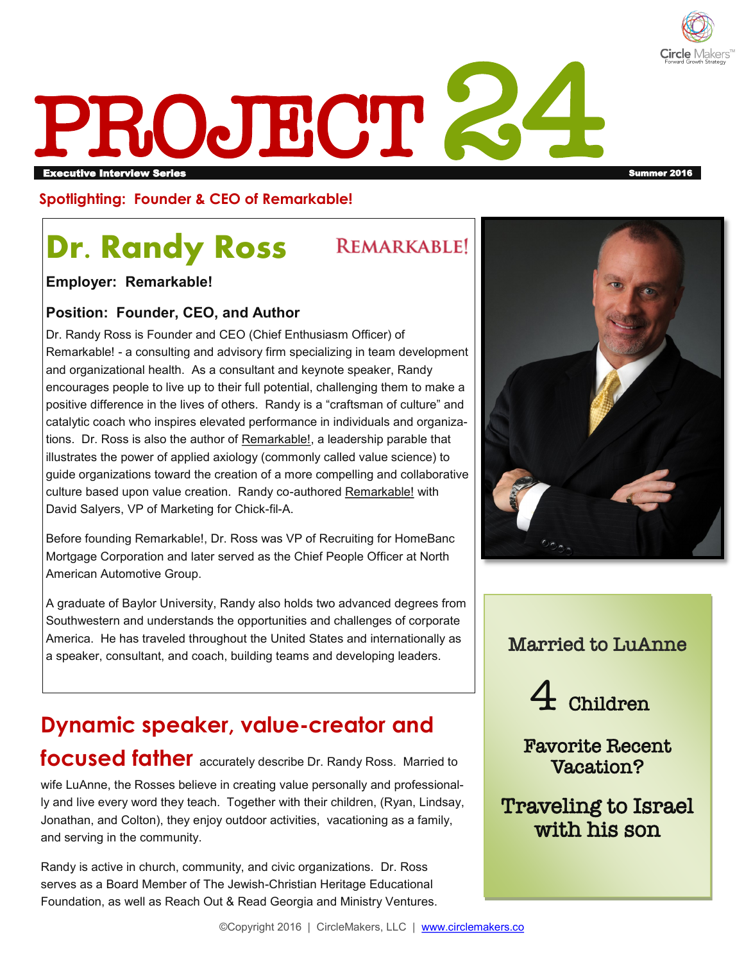

# PROJECT Executive Interview Series Summer 2016

#### **Spotlighting: Founder & CEO of Remarkable!**

## **Dr. Randy Ross**

**REMARKABLE!** 

**Employer: Remarkable!**

#### **Position: Founder, CEO, and Author**

Dr. Randy Ross is Founder and CEO (Chief Enthusiasm Officer) of Remarkable! - a consulting and advisory firm specializing in team development and organizational health. As a consultant and keynote speaker, Randy encourages people to live up to their full potential, challenging them to make a positive difference in the lives of others. Randy is a "craftsman of culture" and catalytic coach who inspires elevated performance in individuals and organizations. Dr. Ross is also the author of Remarkable!, a leadership parable that illustrates the power of applied axiology (commonly called value science) to guide organizations toward the creation of a more compelling and collaborative culture based upon value creation. Randy co-authored Remarkable! with David Salyers, VP of Marketing for Chick-fil-A.

Before founding Remarkable!, Dr. Ross was VP of Recruiting for HomeBanc Mortgage Corporation and later served as the Chief People Officer at North American Automotive Group.

A graduate of Baylor University, Randy also holds two advanced degrees from Southwestern and understands the opportunities and challenges of corporate America. He has traveled throughout the United States and internationally as a speaker, consultant, and coach, building teams and developing leaders.

### **Dynamic speaker, value-creator and focused father** accurately describe Dr. Randy Ross. Married to

wife LuAnne, the Rosses believe in creating value personally and professionally and live every word they teach. Together with their children, (Ryan, Lindsay, Jonathan, and Colton), they enjoy outdoor activities, vacationing as a family, and serving in the community.

Randy is active in church, community, and civic organizations. Dr. Ross serves as a Board Member of The Jewish-Christian Heritage Educational Foundation, as well as Reach Out & Read Georgia and Ministry Ventures.



#### Married to LuAnne



Favorite Recent Vacation?

Traveling to Israel with his son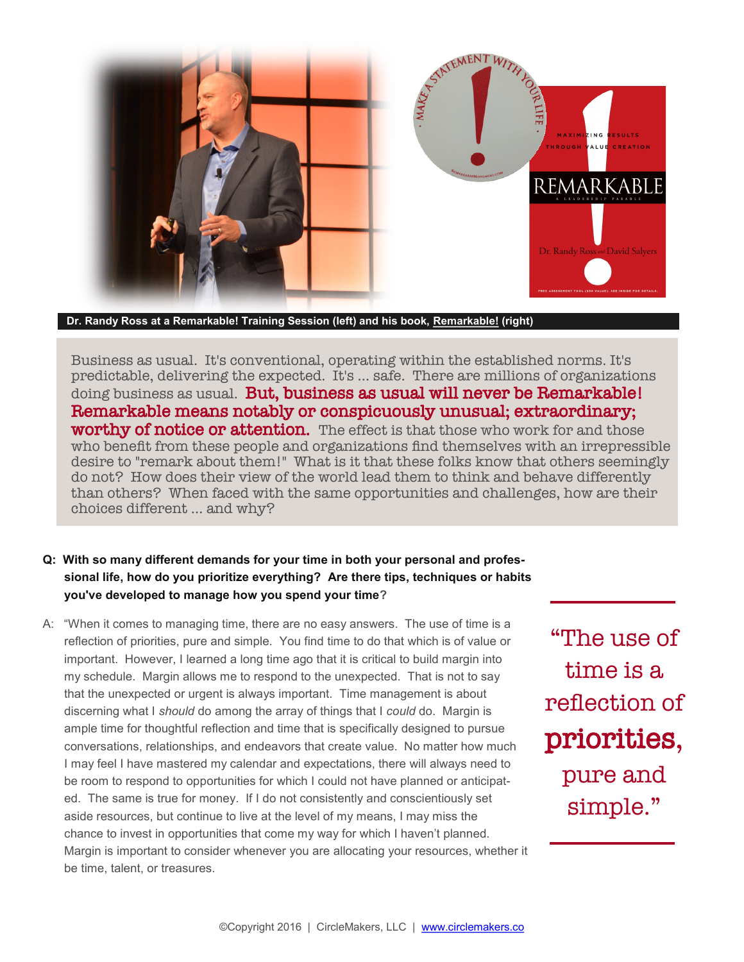

**Dr. Randy Ross at a Remarkable! Training Session (left) and his book, Remarkable! (right)**

Business as usual. It's conventional, operating within the established norms. It's predictable, delivering the expected. It's … safe. There are millions of organizations doing business as usual. **But, business as usual will never be Remarkable!** Remarkable means notably or conspicuously unusual; extraordinary; worthy of notice or attention. The effect is that those who work for and those who benefit from these people and organizations find themselves with an irrepressible desire to "remark about them!" What is it that these folks know that others seemingly do not? How does their view of the world lead them to think and behave differently than others? When faced with the same opportunities and challenges, how are their choices different … and why?

#### **Q: With so many different demands for your time in both your personal and professional life, how do you prioritize everything? Are there tips, techniques or habits you've developed to manage how you spend your time?**

A: "When it comes to managing time, there are no easy answers. The use of time is a reflection of priorities, pure and simple. You find time to do that which is of value or important. However, I learned a long time ago that it is critical to build margin into my schedule. Margin allows me to respond to the unexpected. That is not to say that the unexpected or urgent is always important. Time management is about discerning what I *should* do among the array of things that I *could* do. Margin is ample time for thoughtful reflection and time that is specifically designed to pursue conversations, relationships, and endeavors that create value. No matter how much I may feel I have mastered my calendar and expectations, there will always need to be room to respond to opportunities for which I could not have planned or anticipated. The same is true for money. If I do not consistently and conscientiously set aside resources, but continue to live at the level of my means, I may miss the chance to invest in opportunities that come my way for which I haven't planned. Margin is important to consider whenever you are allocating your resources, whether it be time, talent, or treasures.

"The use of time is a reflection of priorities, pure and simple."